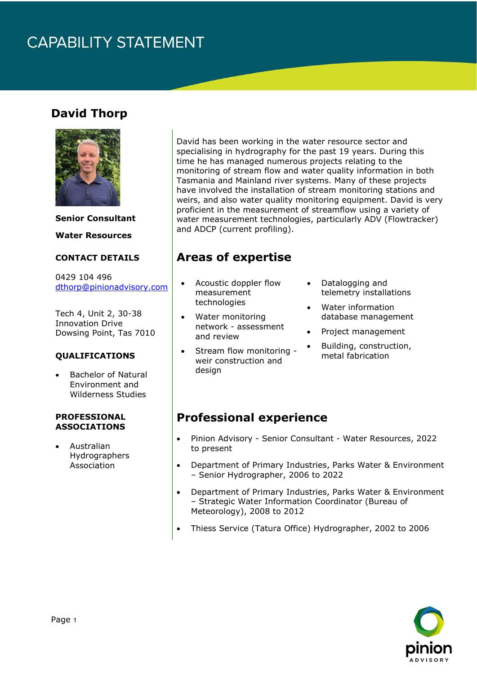# **CAPABILITY STATEMENT**

### **David Thorp**



**Senior Consultant**

### **Water Resources**

#### **CONTACT DETAILS**

0429 104 496 [dthorp@pinionadvisory.com](mailto:dthorp@pinionadvisory.com)

Tech 4, Unit 2, 30-38 Innovation Drive Dowsing Point, Tas 7010

#### **QUALIFICATIONS**

• Bachelor of Natural Environment and Wilderness Studies

#### **PROFESSIONAL ASSOCIATIONS**

• Australian Hydrographers Association

David has been working in the water resource sector and specialising in hydrography for the past 19 years. During this time he has managed numerous projects relating to the monitoring of stream flow and water quality information in both Tasmania and Mainland river systems. Many of these projects have involved the installation of stream monitoring stations and weirs, and also water quality monitoring equipment. David is very proficient in the measurement of streamflow using a variety of water measurement technologies, particularly ADV (Flowtracker) and ADCP (current profiling).

## **Areas of expertise**

- Acoustic doppler flow measurement technologies
- Water monitoring network - assessment and review
- Stream flow monitoring weir construction and design
- Datalogging and telemetry installations
- Water information database management
- Project management
- Building, construction, metal fabrication

## **Professional experience**

- Pinion Advisory Senior Consultant Water Resources, 2022 to present
- Department of Primary Industries, Parks Water & Environment – Senior Hydrographer, 2006 to 2022
- Department of Primary Industries, Parks Water & Environment – Strategic Water Information Coordinator (Bureau of Meteorology), 2008 to 2012
- Thiess Service (Tatura Office) Hydrographer, 2002 to 2006